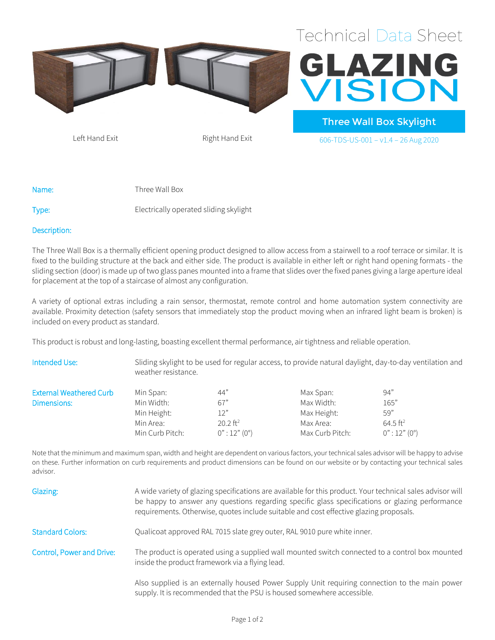



Three Wall Box Skylight Left Hand Exit  $Right$  Hand Exit  $606$ -TDS-US-001 – v1.4 – 26 Aug 2020

Name: Three Wall Box

Type: Electrically operated sliding skylight

## Description:

The Three Wall Box is a thermally efficient opening product designed to allow access from a stairwell to a roof terrace or similar. It is fixed to the building structure at the back and either side. The product is available in either left or right hand opening formats - the sliding section (door) is made up of two glass panes mounted into a frame that slides over the fixed panes giving a large aperture ideal for placement at the top of a staircase of almost any configuration.

A variety of optional extras including a rain sensor, thermostat, remote control and home automation system connectivity are available. Proximity detection (safety sensors that immediately stop the product moving when an infrared light beam is broken) is included on every product as standard.

This product is robust and long-lasting, boasting excellent thermal performance, air tightness and reliable operation.

| Intended Use:                  | Sliding skylight to be used for regular access, to provide natural daylight, day-to-day ventilation and<br>weather resistance. |                        |                 |                        |
|--------------------------------|--------------------------------------------------------------------------------------------------------------------------------|------------------------|-----------------|------------------------|
| <b>External Weathered Curb</b> | Min Span:                                                                                                                      | 44"                    | Max Span:       | 94"                    |
| Dimensions:                    | Min Width:                                                                                                                     | 67"                    | Max Width:      | 165"                   |
|                                | Min Height:                                                                                                                    | 12"                    | Max Height:     | 59"                    |
|                                | Min Area:                                                                                                                      | $20.2$ ft <sup>2</sup> | Max Area:       | $64.5$ ft <sup>2</sup> |
|                                | Min Curb Pitch:                                                                                                                | $0$ " : 12" (0°)       | Max Curb Pitch: | $0$ " : 12" (0°)       |

Note that the minimum and maximum span, width and height are dependent on various factors, your technical sales advisor will be happy to advise on these. Further information on curb requirements and product dimensions can be found on our website or by contacting your technical sales advisor.

| Glazing:                  | A wide variety of glazing specifications are available for this product. Your technical sales advisor will<br>be happy to answer any questions regarding specific glass specifications or glazing performance<br>requirements. Otherwise, quotes include suitable and cost effective glazing proposals. |
|---------------------------|---------------------------------------------------------------------------------------------------------------------------------------------------------------------------------------------------------------------------------------------------------------------------------------------------------|
| <b>Standard Colors:</b>   | Qualicoat approved RAL 7015 slate grey outer, RAL 9010 pure white inner.                                                                                                                                                                                                                                |
| Control, Power and Drive: | The product is operated using a supplied wall mounted switch connected to a control box mounted<br>inside the product framework via a flying lead.                                                                                                                                                      |
|                           | Also supplied is an externally housed Power Supply Unit requiring connection to the main power<br>supply. It is recommended that the PSU is housed somewhere accessible.                                                                                                                                |